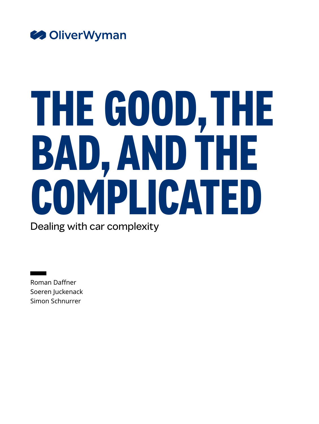

# **THE GOOD, THE BAD, AND THE COMPLICATED**

Dealing with car complexity

Roman Daffner Soeren Juckenack Simon Schnurrer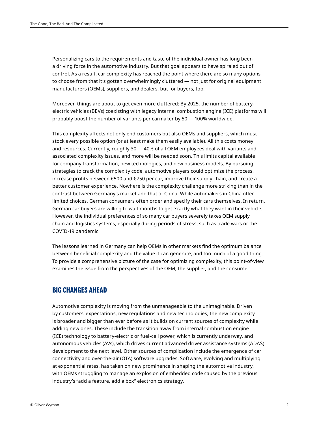Personalizing cars to the requirements and taste of the individual owner has long been a driving force in the automotive industry. But that goal appears to have spiraled out of control. As a result, car complexity has reached the point where there are so many options to choose from that it's gotten overwhelmingly cluttered — not just for original equipment manufacturers (OEMs), suppliers, and dealers, but for buyers, too.

Moreover, things are about to get even more cluttered: By 2025, the number of batteryelectric vehicles (BEVs) coexisting with legacy internal combustion engine (ICE) platforms will probably boost the number of variants per carmaker by 50 — 100% worldwide.

This complexity affects not only end customers but also OEMs and suppliers, which must stock every possible option (or at least make them easily available). All this costs money and resources. Currently, roughly 30 — 40% of all OEM employees deal with variants and associated complexity issues, and more will be needed soon. This limits capital available for company transformation, new technologies, and new business models. By pursuing strategies to crack the complexity code, automotive players could optimize the process, increase profits between €500 and €750 per car, improve their supply chain, and create a better customer experience. Nowhere is the complexity challenge more striking than in the contrast between Germany's market and that of China. While automakers in China offer limited choices, German consumers often order and specify their cars themselves. In return, German car buyers are willing to wait months to get exactly what they want in their vehicle. However, the individual preferences of so many car buyers severely taxes OEM supply chain and logistics systems, especially during periods of stress, such as trade wars or the COVID-19 pandemic.

The lessons learned in Germany can help OEMs in other markets find the optimum balance between beneficial complexity and the value it can generate, and too much of a good thing. To provide a comprehensive picture of the case for optimizing complexity, this point-of-view examines the issue from the perspectives of the OEM, the supplier, and the consumer.

#### **BIG CHANGES AHEAD**

Automotive complexity is moving from the unmanageable to the unimaginable. Driven by customers' expectations, new regulations and new technologies, the new complexity is broader and bigger than ever before as it builds on current sources of complexity while adding new ones. These include the transition away from internal combustion engine (ICE) technology to battery-electric or fuel-cell power, which is currently underway, and autonomous vehicles (AVs), which drives current advanced driver assistance systems (ADAS) development to the next level. Other sources of complication include the emergence of car connectivity and over-the-air (OTA) software upgrades. Software, evolving and multiplying at exponential rates, has taken on new prominence in shaping the automotive industry, with OEMs struggling to manage an explosion of embedded code caused by the previous industry's "add a feature, add a box" electronics strategy.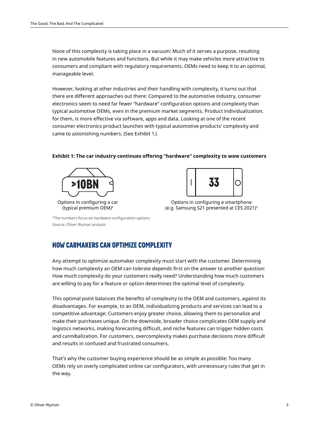None of this complexity is taking place in a vacuum: Much of it serves a purpose, resulting in new automobile features and functions. But while it may make vehicles more attractive to consumers and compliant with regulatory requirements, OEMs need to keep it to an optimal, manageable level.

However, looking at other industries and their handling with complexity, it turns out that there are different approaches out there: Compared to the automotive industry, consumer electronics seem to need far fewer "hardware" configuration options and complexity than typical automotive OEMs, even in the premium market segments. Product individualization, for them, is more effective via software, apps and data. Looking at one of the recent consumer electronics product launches with typical automotive products' complexity and came to astonishing numbers. (See Exhibit 1.)

#### **Exhibit 1: The car industry continues offering "hardware" complexity to wow customers**





Options in configuring a smartphone (e.g. Samsung S21 presented at CES 2021)1

1The numbers focus on hardware configuration options Source: Oliver Wyman analysis

## **HOW CARMAKERS CAN OPTIMIZE COMPLEXITY**

Any attempt to optimize automaker complexity must start with the customer. Determining how much complexity an OEM can tolerate depends first on the answer to another question: How much complexity do your customers really need? Understanding how much customers are willing to pay for a feature or option determines the optimal level of complexity.

This optimal point balances the benefits of complexity to the OEM and customers, against its disadvantages. For example, to an OEM, individualizing products and services can lead to a competitive advantage: Customers enjoy greater choice, allowing them to personalize and make their purchases unique. On the downside, broader choice complicates OEM supply and logistics networks, making forecasting difficult, and niche features can trigger hidden costs and cannibalization. For customers, overcomplexity makes purchase decisions more difficult and results in confused and frustrated consumers.

That's why the customer buying experience should be as simple as possible: Too many OEMs rely on overly complicated online car configurators, with unnecessary rules that get in the way.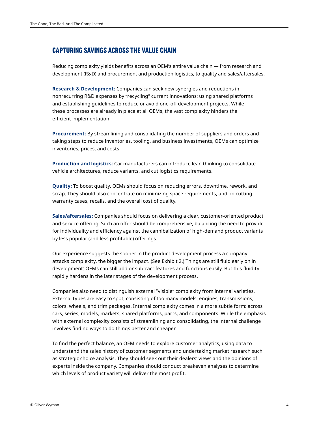# **CAPTURING SAVINGS ACROSS THE VALUE CHAIN**

Reducing complexity yields benefits across an OEM's entire value chain — from research and development (R&D) and procurement and production logistics, to quality and sales/aftersales.

**Research & Development:** Companies can seek new synergies and reductions in nonrecurring R&D expenses by "recycling" current innovations: using shared platforms and establishing guidelines to reduce or avoid one-off development projects. While these processes are already in place at all OEMs, the vast complexity hinders the efficient implementation.

**Procurement:** By streamlining and consolidating the number of suppliers and orders and taking steps to reduce inventories, tooling, and business investments, OEMs can optimize inventories, prices, and costs.

**Production and logistics:** Car manufacturers can introduce lean thinking to consolidate vehicle architectures, reduce variants, and cut logistics requirements.

**Quality:** To boost quality, OEMs should focus on reducing errors, downtime, rework, and scrap. They should also concentrate on minimizing space requirements, and on cutting warranty cases, recalls, and the overall cost of quality.

**Sales/aftersales:** Companies should focus on delivering a clear, customer-oriented product and service offering. Such an offer should be comprehensive, balancing the need to provide for individuality and efficiency against the cannibalization of high-demand product variants by less popular (and less profitable) offerings.

Our experience suggests the sooner in the product development process a company attacks complexity, the bigger the impact. (See Exhibit 2.) Things are still fluid early on in development: OEMs can still add or subtract features and functions easily. But this fluidity rapidly hardens in the later stages of the development process.

Companies also need to distinguish external "visible" complexity from internal varieties. External types are easy to spot, consisting of too many models, engines, transmissions, colors, wheels, and trim packages. Internal complexity comes in a more subtle form: across cars, series, models, markets, shared platforms, parts, and components. While the emphasis with external complexity consists of streamlining and consolidating, the internal challenge involves finding ways to do things better and cheaper.

To find the perfect balance, an OEM needs to explore customer analytics, using data to understand the sales history of customer segments and undertaking market research such as strategic choice analysis. They should seek out their dealers' views and the opinions of experts inside the company. Companies should conduct breakeven analyses to determine which levels of product variety will deliver the most profit.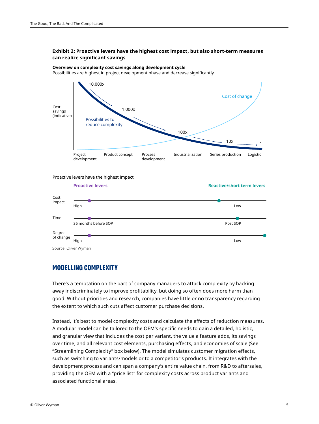# **Exhibit 2: Proactive levers have the highest cost impact, but also short-term measures Exhibit 2: Proactive levers have the highe**<br>can realize significant savings

**Overview on complexity cost savings along development cycle** Possibilities are highest in project development phase and decrease significantly



Proactive levers have the highest impact



# **MODELLING COMPLEXITY**

There's a temptation on the part of company managers to attack complexity by hacking away indiscriminately to improve profitability, but doing so often does more harm than good. Without priorities and research, companies have little or no transparency regarding the extent to which such cuts affect customer purchase decisions.

Instead, it's best to model complexity costs and calculate the effects of reduction measures. A modular model can be tailored to the OEM's specific needs to gain a detailed, holistic, and granular view that includes the cost per variant, the value a feature adds, its savings over time, and all relevant cost elements, purchasing effects, and economies of scale (See "Streamlining Complexity" box below). The model simulates customer migration effects, such as switching to variants/models or to a competitor's products. It integrates with the development process and can span a company's entire value chain, from R&D to aftersales, providing the OEM with a "price list" for complexity costs across product variants and associated functional areas.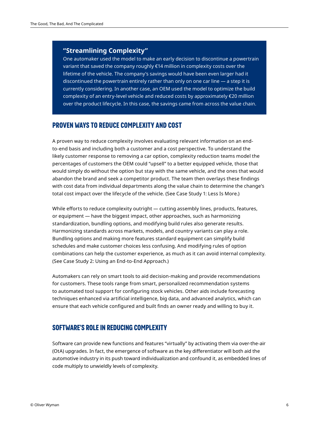#### **"Streamlining Complexity"**

One automaker used the model to make an early decision to discontinue a powertrain variant that saved the company roughly €14 million in complexity costs over the lifetime of the vehicle. The company's savings would have been even larger had it discontinued the powertrain entirely rather than only on one car line — a step it is currently considering. In another case, an OEM used the model to optimize the build complexity of an entry-level vehicle and reduced costs by approximately  $\epsilon$ 20 million over the product lifecycle. In this case, the savings came from across the value chain.

#### **PROVEN WAYS TO REDUCE COMPLEXITY AND COST**

A proven way to reduce complexity involves evaluating relevant information on an endto-end basis and including both a customer and a cost perspective. To understand the likely customer response to removing a car option, complexity reduction teams model the percentages of customers the OEM could "upsell" to a better equipped vehicle, those that would simply do without the option but stay with the same vehicle, and the ones that would abandon the brand and seek a competitor product. The team then overlays these findings with cost data from individual departments along the value chain to determine the change's total cost impact over the lifecycle of the vehicle. (See Case Study 1: Less Is More.)

While efforts to reduce complexity outright — cutting assembly lines, products, features, or equipment — have the biggest impact, other approaches, such as harmonizing standardization, bundling options, and modifying build rules also generate results. Harmonizing standards across markets, models, and country variants can play a role. Bundling options and making more features standard equipment can simplify build schedules and make customer choices less confusing. And modifying rules of option combinations can help the customer experience, as much as it can avoid internal complexity. (See Case Study 2: Using an End-to-End Approach.)

Automakers can rely on smart tools to aid decision-making and provide recommendations for customers. These tools range from smart, personalized recommendation systems to automated tool support for configuring stock vehicles. Other aids include forecasting techniques enhanced via artificial intelligence, big data, and advanced analytics, which can ensure that each vehicle configured and built finds an owner ready and willing to buy it.

#### **SOFTWARE'S ROLE IN REDUCING COMPLEXITY**

Software can provide new functions and features "virtually" by activating them via over-the-air (OtA) upgrades. In fact, the emergence of software as the key differentiator will both aid the automotive industry in its push toward individualization and confound it, as embedded lines of code multiply to unwieldly levels of complexity.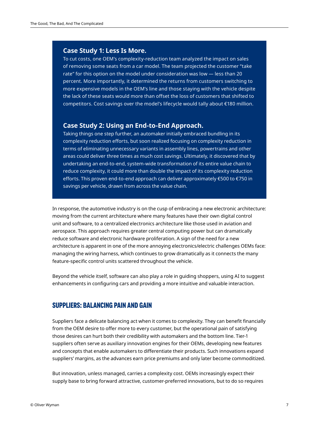#### **Case Study 1: Less Is More.**

To cut costs, one OEM's complexity-reduction team analyzed the impact on sales of removing some seats from a car model. The team projected the customer "take rate" for this option on the model under consideration was low — less than 20 percent. More importantly, it determined the returns from customers switching to more expensive models in the OEM's line and those staying with the vehicle despite the lack of these seats would more than offset the loss of customers that shifted to competitors. Cost savings over the model's lifecycle would tally about €180 million.

#### **Case Study 2: Using an End-to-End Approach.**

Taking things one step further, an automaker initially embraced bundling in its complexity reduction efforts, but soon realized focusing on complexity reduction in terms of eliminating unnecessary variants in assembly lines, powertrains and other areas could deliver three times as much cost savings. Ultimately, it discovered that by undertaking an end-to-end, system-wide transformation of its entire value chain to reduce complexity, it could more than double the impact of its complexity reduction efforts. This proven end-to-end approach can deliver approximately €500 to €750 in savings per vehicle, drawn from across the value chain.

In response, the automotive industry is on the cusp of embracing a new electronic architecture: moving from the current architecture where many features have their own digital control unit and software, to a centralized electronics architecture like those used in aviation and aerospace. This approach requires greater central computing power but can dramatically reduce software and electronic hardware proliferation. A sign of the need for a new architecture is apparent in one of the more annoying electronics/electric challenges OEMs face: managing the wiring harness, which continues to grow dramatically as it connects the many feature-specific control units scattered throughout the vehicle.

Beyond the vehicle itself, software can also play a role in guiding shoppers, using AI to suggest enhancements in configuring cars and providing a more intuitive and valuable interaction.

#### **SUPPLIERS: BALANCING PAIN AND GAIN**

Suppliers face a delicate balancing act when it comes to complexity. They can benefit financially from the OEM desire to offer more to every customer, but the operational pain of satisfying those desires can hurt both their credibility with automakers and the bottom line. Tier-1 suppliers often serve as auxiliary innovation engines for their OEMs, developing new features and concepts that enable automakers to differentiate their products. Such innovations expand suppliers' margins, as the advances earn price premiums and only later become commoditized.

But innovation, unless managed, carries a complexity cost. OEMs increasingly expect their supply base to bring forward attractive, customer-preferred innovations, but to do so requires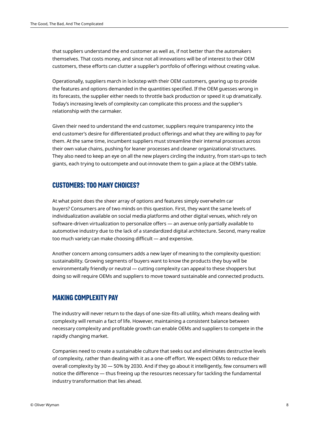that suppliers understand the end customer as well as, if not better than the automakers themselves. That costs money, and since not all innovations will be of interest to their OEM customers, these efforts can clutter a supplier's portfolio of offerings without creating value.

Operationally, suppliers march in lockstep with their OEM customers, gearing up to provide the features and options demanded in the quantities specified. If the OEM guesses wrong in its forecasts, the supplier either needs to throttle back production or speed it up dramatically. Today's increasing levels of complexity can complicate this process and the supplier's relationship with the carmaker.

Given their need to understand the end customer, suppliers require transparency into the end customer's desire for differentiated product offerings and what they are willing to pay for them. At the same time, incumbent suppliers must streamline their internal processes across their own value chains, pushing for leaner processes and cleaner organizational structures. They also need to keep an eye on all the new players circling the industry, from start-ups to tech giants, each trying to outcompete and out-innovate them to gain a place at the OEM's table.

#### **CUSTOMERS: TOO MANY CHOICES?**

At what point does the sheer array of options and features simply overwhelm car buyers? Consumers are of two minds on this question. First, they want the same levels of individualization available on social media platforms and other digital venues, which rely on software-driven virtualization to personalize offers — an avenue only partially available to automotive industry due to the lack of a standardized digital architecture. Second, many realize too much variety can make choosing difficult — and expensive.

Another concern among consumers adds a new layer of meaning to the complexity question: sustainability. Growing segments of buyers want to know the products they buy will be environmentally friendly or neutral — cutting complexity can appeal to these shoppers but doing so will require OEMs and suppliers to move toward sustainable and connected products.

## **MAKING COMPLEXITY PAY**

The industry will never return to the days of one-size-fits-all utility, which means dealing with complexity will remain a fact of life. However, maintaining a consistent balance between necessary complexity and profitable growth can enable OEMs and suppliers to compete in the rapidly changing market.

Companies need to create a sustainable culture that seeks out and eliminates destructive levels of complexity, rather than dealing with it as a one-off effort. We expect OEMs to reduce their overall complexity by 30 — 50% by 2030. And if they go about it intelligently, few consumers will notice the difference — thus freeing up the resources necessary for tackling the fundamental industry transformation that lies ahead.